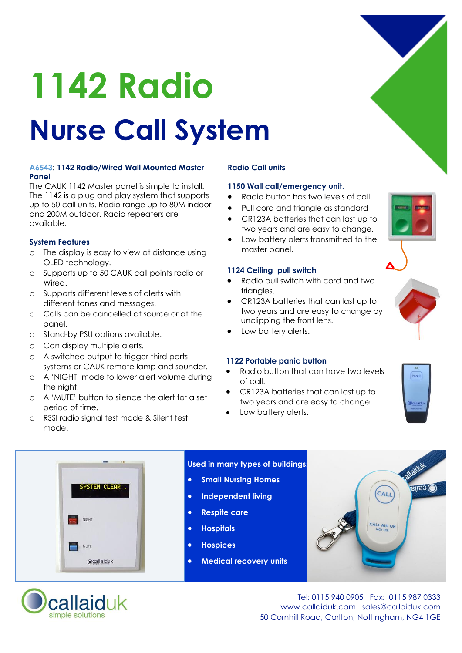

#### **A6543: 1142 Radio/Wired Wall Mounted Master Panel**

The CAUK 1142 Master panel is simple to install. The 1142 is a plug and play system that supports up to 50 call units. Radio range up to 80M indoor and 200M outdoor. Radio repeaters are available.

### **System Features**

- o The display is easy to view at distance using OLED technology.
- o Supports up to 50 CAUK call points radio or Wired.
- o Supports different levels of alerts with different tones and messages.
- o Calls can be cancelled at source or at the panel.
- o Stand-by PSU options available.
- o Can display multiple alerts.
- o A switched output to trigger third parts systems or CAUK remote lamp and sounder.
- o A 'NIGHT' mode to lower alert volume during the night.
- o A 'MUTE' button to silence the alert for a set period of time.
- o RSSI radio signal test mode & Silent test mode.

#### **Radio Call units**

#### **1150 Wall call/emergency unit**.

- · Radio button has two levels of call.
- · Pull cord and triangle as standard
- · CR123A batteries that can last up to two years and are easy to change.
- Low battery alerts transmitted to the master panel.

#### **1124 Ceiling pull switch**

- Radio pull switch with cord and two triangles.
- · CR123A batteries that can last up to two years and are easy to change by unclipping the front lens.
- Low battery alerts.

#### **1122 Portable panic button**

- Radio button that can have two levels of call.
- · CR123A batteries that can last up to two years and are easy to change.
- Low battery alerts.











Tel: 0115 940 0905 Fax: 0115 987 0333 www.callaiduk.com sales@callaiduk.com 50 Cornhill Road, Carlton, Nottingham, NG4 1GE